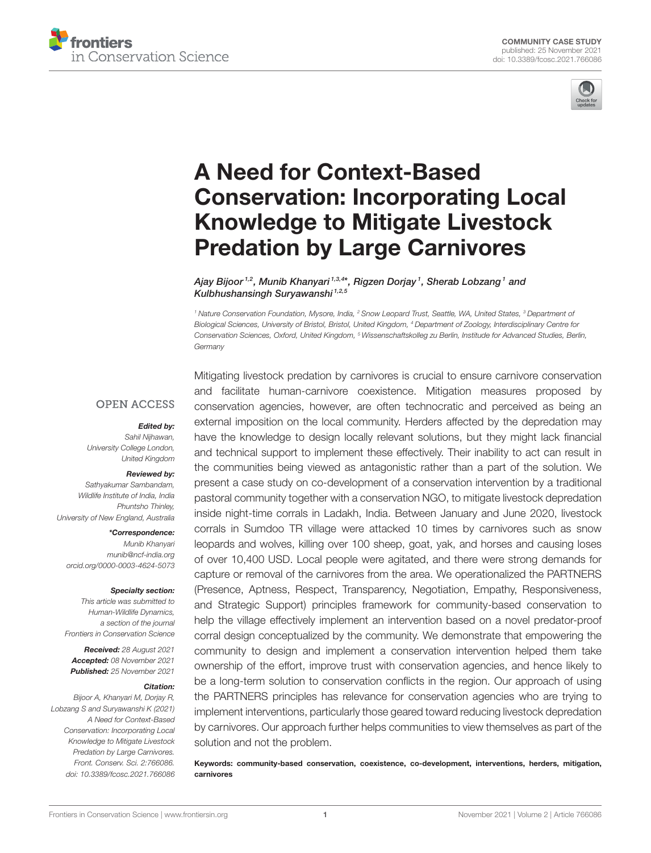



# A Need for Context-Based [Conservation: Incorporating Local](https://www.frontiersin.org/articles/10.3389/fcosc.2021.766086/full) Knowledge to Mitigate Livestock Predation by Large Carnivores

Ajay Bijoor 1,2, Munib Khanyari 1,3,4\*, Rigzen Dorjay 1 , Sherab Lobzang 1 and Kulbhushansingh Suryawanshi<sup>1,2,5</sup>

*<sup>1</sup> Nature Conservation Foundation, Mysore, India, <sup>2</sup> Snow Leopard Trust, Seattle, WA, United States, <sup>3</sup> Department of Biological Sciences, University of Bristol, Bristol, United Kingdom, <sup>4</sup> Department of Zoology, Interdisciplinary Centre for Conservation Sciences, Oxford, United Kingdom, <sup>5</sup> Wissenschaftskolleg zu Berlin, Institude for Advanced Studies, Berlin, Germany*

#### **OPEN ACCESS**

#### Edited by:

*Sahil Nijhawan, University College London, United Kingdom*

#### Reviewed by:

*Sathyakumar Sambandam, Wildlife Institute of India, India Phuntsho Thinley, University of New England, Australia*

\*Correspondence:

*Munib Khanyari [munib@ncf-india.org](mailto:munib@ncf-india.org) [orcid.org/0000-0003-4624-5073](http://orcid.org/0000-0003-4624-5073)*

#### Specialty section:

*This article was submitted to Human-Wildlife Dynamics, a section of the journal Frontiers in Conservation Science*

Received: *28 August 2021* Accepted: *08 November 2021* Published: *25 November 2021*

#### Citation:

*Bijoor A, Khanyari M, Dorjay R, Lobzang S and Suryawanshi K (2021) A Need for Context-Based Conservation: Incorporating Local Knowledge to Mitigate Livestock Predation by Large Carnivores. Front. Conserv. Sci. 2:766086. doi: [10.3389/fcosc.2021.766086](https://doi.org/10.3389/fcosc.2021.766086)*

Mitigating livestock predation by carnivores is crucial to ensure carnivore conservation and facilitate human-carnivore coexistence. Mitigation measures proposed by conservation agencies, however, are often technocratic and perceived as being an external imposition on the local community. Herders affected by the depredation may have the knowledge to design locally relevant solutions, but they might lack financial and technical support to implement these effectively. Their inability to act can result in the communities being viewed as antagonistic rather than a part of the solution. We present a case study on co-development of a conservation intervention by a traditional pastoral community together with a conservation NGO, to mitigate livestock depredation inside night-time corrals in Ladakh, India. Between January and June 2020, livestock corrals in Sumdoo TR village were attacked 10 times by carnivores such as snow leopards and wolves, killing over 100 sheep, goat, yak, and horses and causing loses of over 10,400 USD. Local people were agitated, and there were strong demands for capture or removal of the carnivores from the area. We operationalized the PARTNERS (Presence, Aptness, Respect, Transparency, Negotiation, Empathy, Responsiveness, and Strategic Support) principles framework for community-based conservation to help the village effectively implement an intervention based on a novel predator-proof corral design conceptualized by the community. We demonstrate that empowering the community to design and implement a conservation intervention helped them take ownership of the effort, improve trust with conservation agencies, and hence likely to be a long-term solution to conservation conflicts in the region. Our approach of using the PARTNERS principles has relevance for conservation agencies who are trying to implement interventions, particularly those geared toward reducing livestock depredation by carnivores. Our approach further helps communities to view themselves as part of the solution and not the problem.

Keywords: community-based conservation, coexistence, co-development, interventions, herders, mitigation, carnivores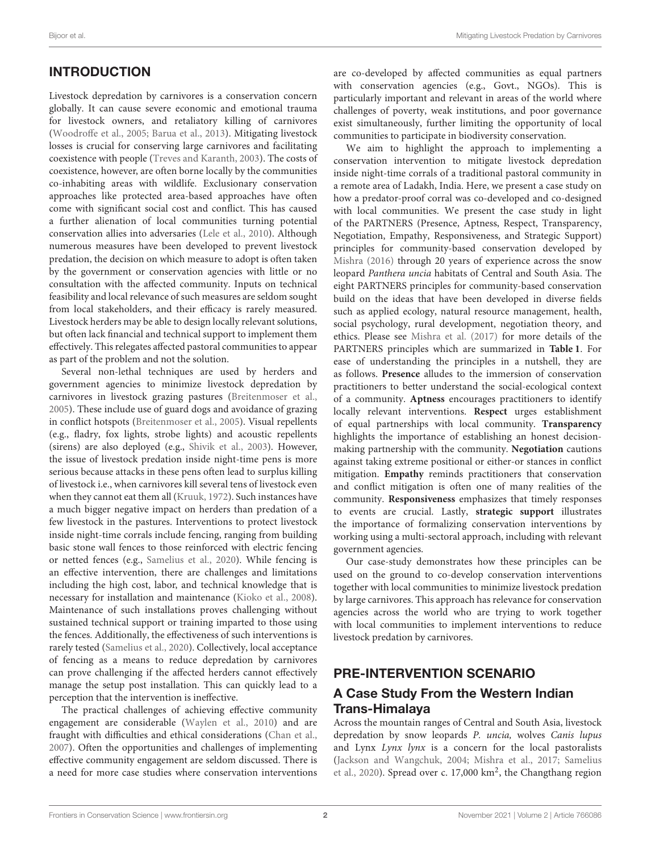# INTRODUCTION

Livestock depredation by carnivores is a conservation concern globally. It can cause severe economic and emotional trauma for livestock owners, and retaliatory killing of carnivores [\(Woodroffe et al., 2005;](#page-8-0) [Barua et al., 2013\)](#page-8-1). Mitigating livestock losses is crucial for conserving large carnivores and facilitating coexistence with people [\(Treves and Karanth, 2003\)](#page-8-2). The costs of coexistence, however, are often borne locally by the communities co-inhabiting areas with wildlife. Exclusionary conservation approaches like protected area-based approaches have often come with significant social cost and conflict. This has caused a further alienation of local communities turning potential conservation allies into adversaries [\(Lele et al., 2010\)](#page-8-3). Although numerous measures have been developed to prevent livestock predation, the decision on which measure to adopt is often taken by the government or conservation agencies with little or no consultation with the affected community. Inputs on technical feasibility and local relevance of such measures are seldom sought from local stakeholders, and their efficacy is rarely measured. Livestock herders may be able to design locally relevant solutions, but often lack financial and technical support to implement them effectively. This relegates affected pastoral communities to appear as part of the problem and not the solution.

Several non-lethal techniques are used by herders and government agencies to minimize livestock depredation by carnivores in livestock grazing pastures [\(Breitenmoser et al.,](#page-8-4) [2005\)](#page-8-4). These include use of guard dogs and avoidance of grazing in conflict hotspots [\(Breitenmoser et al., 2005\)](#page-8-4). Visual repellents (e.g., fladry, fox lights, strobe lights) and acoustic repellents (sirens) are also deployed (e.g., [Shivik et al., 2003\)](#page-8-5). However, the issue of livestock predation inside night-time pens is more serious because attacks in these pens often lead to surplus killing of livestock i.e., when carnivores kill several tens of livestock even when they cannot eat them all [\(Kruuk, 1972\)](#page-8-6). Such instances have a much bigger negative impact on herders than predation of a few livestock in the pastures. Interventions to protect livestock inside night-time corrals include fencing, ranging from building basic stone wall fences to those reinforced with electric fencing or netted fences (e.g., [Samelius et al., 2020\)](#page-8-7). While fencing is an effective intervention, there are challenges and limitations including the high cost, labor, and technical knowledge that is necessary for installation and maintenance [\(Kioko et al., 2008\)](#page-8-8). Maintenance of such installations proves challenging without sustained technical support or training imparted to those using the fences. Additionally, the effectiveness of such interventions is rarely tested [\(Samelius et al., 2020\)](#page-8-7). Collectively, local acceptance of fencing as a means to reduce depredation by carnivores can prove challenging if the affected herders cannot effectively manage the setup post installation. This can quickly lead to a perception that the intervention is ineffective.

The practical challenges of achieving effective community engagement are considerable [\(Waylen et al., 2010\)](#page-8-9) and are fraught with difficulties and ethical considerations [\(Chan et al.,](#page-8-10) [2007\)](#page-8-10). Often the opportunities and challenges of implementing effective community engagement are seldom discussed. There is a need for more case studies where conservation interventions are co-developed by affected communities as equal partners with conservation agencies (e.g., Govt., NGOs). This is particularly important and relevant in areas of the world where challenges of poverty, weak institutions, and poor governance exist simultaneously, further limiting the opportunity of local communities to participate in biodiversity conservation.

We aim to highlight the approach to implementing a conservation intervention to mitigate livestock depredation inside night-time corrals of a traditional pastoral community in a remote area of Ladakh, India. Here, we present a case study on how a predator-proof corral was co-developed and co-designed with local communities. We present the case study in light of the PARTNERS (Presence, Aptness, Respect, Transparency, Negotiation, Empathy, Responsiveness, and Strategic Support) principles for community-based conservation developed by [Mishra \(2016\)](#page-8-11) through 20 years of experience across the snow leopard Panthera uncia habitats of Central and South Asia. The eight PARTNERS principles for community-based conservation build on the ideas that have been developed in diverse fields such as applied ecology, natural resource management, health, social psychology, rural development, negotiation theory, and ethics. Please see [Mishra et al. \(2017\)](#page-8-12) for more details of the PARTNERS principles which are summarized in **[Table 1](#page-2-0)**. For ease of understanding the principles in a nutshell, they are as follows. **Presence** alludes to the immersion of conservation practitioners to better understand the social-ecological context of a community. **Aptness** encourages practitioners to identify locally relevant interventions. **Respect** urges establishment of equal partnerships with local community. **Transparency** highlights the importance of establishing an honest decisionmaking partnership with the community. **Negotiation** cautions against taking extreme positional or either-or stances in conflict mitigation. **Empathy** reminds practitioners that conservation and conflict mitigation is often one of many realities of the community. **Responsiveness** emphasizes that timely responses to events are crucial. Lastly, **strategic support** illustrates the importance of formalizing conservation interventions by working using a multi-sectoral approach, including with relevant government agencies.

Our case-study demonstrates how these principles can be used on the ground to co-develop conservation interventions together with local communities to minimize livestock predation by large carnivores. This approach has relevance for conservation agencies across the world who are trying to work together with local communities to implement interventions to reduce livestock predation by carnivores.

# PRE-INTERVENTION SCENARIO

### A Case Study From the Western Indian Trans-Himalaya

Across the mountain ranges of Central and South Asia, livestock depredation by snow leopards P. uncia, wolves Canis lupus and Lynx Lynx lynx is a concern for the local pastoralists [\(Jackson and Wangchuk, 2004;](#page-8-13) [Mishra et al., 2017;](#page-8-12) Samelius et al., [2020\)](#page-8-7). Spread over c. 17,000 km<sup>2</sup>, the Changthang region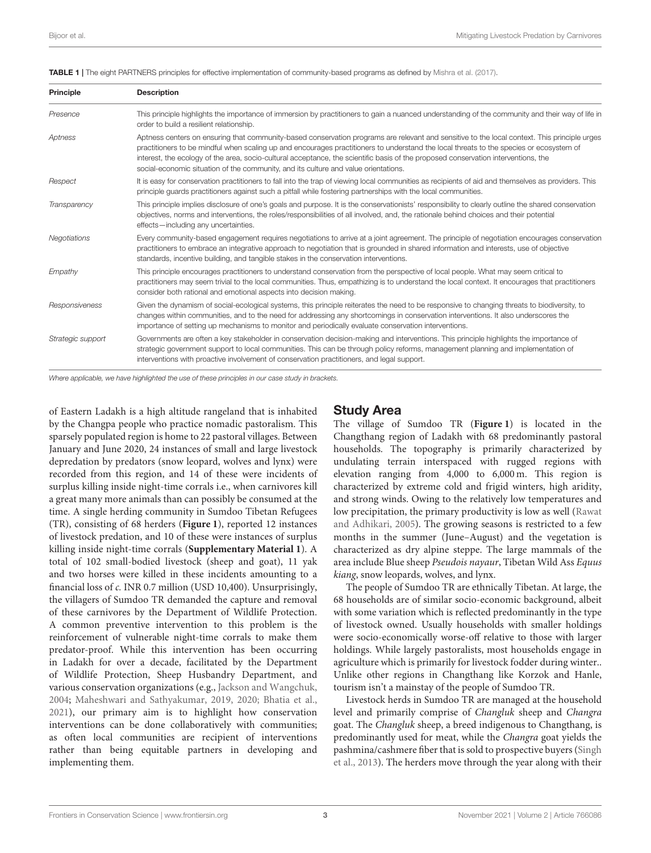| <b>Principle</b>  | <b>Description</b>                                                                                                                                                                                                                                                                                                                                                                                                                                                                                                   |  |
|-------------------|----------------------------------------------------------------------------------------------------------------------------------------------------------------------------------------------------------------------------------------------------------------------------------------------------------------------------------------------------------------------------------------------------------------------------------------------------------------------------------------------------------------------|--|
| Presence          | This principle highlights the importance of immersion by practitioners to gain a nuanced understanding of the community and their way of life in<br>order to build a resilient relationship.                                                                                                                                                                                                                                                                                                                         |  |
| Aptness           | Aptness centers on ensuring that community-based conservation programs are relevant and sensitive to the local context. This principle urges<br>practitioners to be mindful when scaling up and encourages practitioners to understand the local threats to the species or ecosystem of<br>interest, the ecology of the area, socio-cultural acceptance, the scientific basis of the proposed conservation interventions, the<br>social-economic situation of the community, and its culture and value orientations. |  |
| Respect           | It is easy for conservation practitioners to fall into the trap of viewing local communities as recipients of aid and themselves as providers. This<br>principle quards practitioners against such a pitfall while fostering partnerships with the local communities.                                                                                                                                                                                                                                                |  |
| Transparency      | This principle implies disclosure of one's goals and purpose. It is the conservationists' responsibility to clearly outline the shared conservation<br>objectives, norms and interventions, the roles/responsibilities of all involved, and, the rationale behind choices and their potential<br>effects-including any uncertainties.                                                                                                                                                                                |  |
| Negotiations      | Every community-based engagement requires negotiations to arrive at a joint agreement. The principle of negotiation encourages conservation<br>practitioners to embrace an integrative approach to negotiation that is grounded in shared information and interests, use of objective<br>standards, incentive building, and tangible stakes in the conservation interventions.                                                                                                                                       |  |
| Empathy           | This principle encourages practitioners to understand conservation from the perspective of local people. What may seem critical to<br>practitioners may seem trivial to the local communities. Thus, empathizing is to understand the local context. It encourages that practitioners<br>consider both rational and emotional aspects into decision making.                                                                                                                                                          |  |
| Responsiveness    | Given the dynamism of social-ecological systems, this principle reiterates the need to be responsive to changing threats to biodiversity, to<br>changes within communities, and to the need for addressing any shortcomings in conservation interventions. It also underscores the<br>importance of setting up mechanisms to monitor and periodically evaluate conservation interventions.                                                                                                                           |  |
| Strategic support | Governments are often a key stakeholder in conservation decision-making and interventions. This principle highlights the importance of<br>strategic government support to local communities. This can be through policy reforms, management planning and implementation of<br>interventions with proactive involvement of conservation practitioners, and legal support.                                                                                                                                             |  |

<span id="page-2-0"></span>TABLE 1 | The eight PARTNERS principles for effective implementation of community-based programs as defined by [Mishra et al. \(2017\)](#page-8-12).

*Where applicable, we have highlighted the use of these principles in our case study in brackets.*

of Eastern Ladakh is a high altitude rangeland that is inhabited by the Changpa people who practice nomadic pastoralism. This sparsely populated region is home to 22 pastoral villages. Between January and June 2020, 24 instances of small and large livestock depredation by predators (snow leopard, wolves and lynx) were recorded from this region, and 14 of these were incidents of surplus killing inside night-time corrals i.e., when carnivores kill a great many more animals than can possibly be consumed at the time. A single herding community in Sumdoo Tibetan Refugees (TR), consisting of 68 herders (**[Figure 1](#page-3-0)**), reported 12 instances of livestock predation, and 10 of these were instances of surplus killing inside night-time corrals (**[Supplementary Material 1](#page-7-0)**). A total of 102 small-bodied livestock (sheep and goat), 11 yak and two horses were killed in these incidents amounting to a financial loss of c. INR 0.7 million (USD 10,400). Unsurprisingly, the villagers of Sumdoo TR demanded the capture and removal of these carnivores by the Department of Wildlife Protection. A common preventive intervention to this problem is the reinforcement of vulnerable night-time corrals to make them predator-proof. While this intervention has been occurring in Ladakh for over a decade, facilitated by the Department of Wildlife Protection, Sheep Husbandry Department, and various conservation organizations (e.g., [Jackson and Wangchuk,](#page-8-13) [2004;](#page-8-13) [Maheshwari and Sathyakumar, 2019,](#page-8-14) [2020;](#page-8-15) [Bhatia et al.,](#page-8-16) [2021\)](#page-8-16), our primary aim is to highlight how conservation interventions can be done collaboratively with communities; as often local communities are recipient of interventions rather than being equitable partners in developing and implementing them.

#### Study Area

The village of Sumdoo TR (**[Figure 1](#page-3-0)**) is located in the Changthang region of Ladakh with 68 predominantly pastoral households. The topography is primarily characterized by undulating terrain interspaced with rugged regions with elevation ranging from 4,000 to 6,000 m. This region is characterized by extreme cold and frigid winters, high aridity, and strong winds. Owing to the relatively low temperatures and low precipitation, the primary productivity is low as well (Rawat and Adhikari, [2005\)](#page-8-17). The growing seasons is restricted to a few months in the summer (June–August) and the vegetation is characterized as dry alpine steppe. The large mammals of the area include Blue sheep Pseudois nayaur, Tibetan Wild Ass Equus kiang, snow leopards, wolves, and lynx.

The people of Sumdoo TR are ethnically Tibetan. At large, the 68 households are of similar socio-economic background, albeit with some variation which is reflected predominantly in the type of livestock owned. Usually households with smaller holdings were socio-economically worse-off relative to those with larger holdings. While largely pastoralists, most households engage in agriculture which is primarily for livestock fodder during winter.. Unlike other regions in Changthang like Korzok and Hanle, tourism isn't a mainstay of the people of Sumdoo TR.

Livestock herds in Sumdoo TR are managed at the household level and primarily comprise of Changluk sheep and Changra goat. The Changluk sheep, a breed indigenous to Changthang, is predominantly used for meat, while the Changra goat yields the pashmina/cashmere fiber that is sold to prospective buyers (Singh et al., [2013\)](#page-8-18). The herders move through the year along with their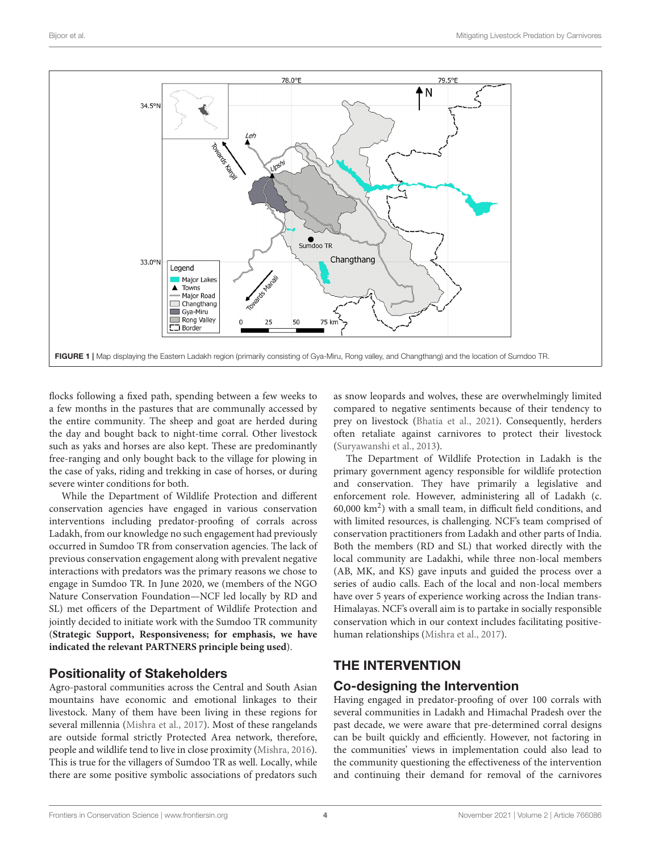

<span id="page-3-0"></span>flocks following a fixed path, spending between a few weeks to a few months in the pastures that are communally accessed by the entire community. The sheep and goat are herded during the day and bought back to night-time corral. Other livestock such as yaks and horses are also kept. These are predominantly free-ranging and only bought back to the village for plowing in the case of yaks, riding and trekking in case of horses, or during severe winter conditions for both.

While the Department of Wildlife Protection and different conservation agencies have engaged in various conservation interventions including predator-proofing of corrals across Ladakh, from our knowledge no such engagement had previously occurred in Sumdoo TR from conservation agencies. The lack of previous conservation engagement along with prevalent negative interactions with predators was the primary reasons we chose to engage in Sumdoo TR. In June 2020, we (members of the NGO Nature Conservation Foundation—NCF led locally by RD and SL) met officers of the Department of Wildlife Protection and jointly decided to initiate work with the Sumdoo TR community (**Strategic Support, Responsiveness; for emphasis, we have indicated the relevant PARTNERS principle being used**).

## Positionality of Stakeholders

Agro-pastoral communities across the Central and South Asian mountains have economic and emotional linkages to their livestock. Many of them have been living in these regions for several millennia [\(Mishra et al., 2017\)](#page-8-12). Most of these rangelands are outside formal strictly Protected Area network, therefore, people and wildlife tend to live in close proximity [\(Mishra, 2016\)](#page-8-11). This is true for the villagers of Sumdoo TR as well. Locally, while there are some positive symbolic associations of predators such as snow leopards and wolves, these are overwhelmingly limited compared to negative sentiments because of their tendency to prey on livestock [\(Bhatia et al., 2021\)](#page-8-16). Consequently, herders often retaliate against carnivores to protect their livestock [\(Suryawanshi et al., 2013\)](#page-8-19).

The Department of Wildlife Protection in Ladakh is the primary government agency responsible for wildlife protection and conservation. They have primarily a legislative and enforcement role. However, administering all of Ladakh (c. 60,000 km<sup>2</sup> ) with a small team, in difficult field conditions, and with limited resources, is challenging. NCF's team comprised of conservation practitioners from Ladakh and other parts of India. Both the members (RD and SL) that worked directly with the local community are Ladakhi, while three non-local members (AB, MK, and KS) gave inputs and guided the process over a series of audio calls. Each of the local and non-local members have over 5 years of experience working across the Indian trans-Himalayas. NCF's overall aim is to partake in socially responsible conservation which in our context includes facilitating positivehuman relationships [\(Mishra et al., 2017\)](#page-8-12).

# THE INTERVENTION

# Co-designing the Intervention

Having engaged in predator-proofing of over 100 corrals with several communities in Ladakh and Himachal Pradesh over the past decade, we were aware that pre-determined corral designs can be built quickly and efficiently. However, not factoring in the communities' views in implementation could also lead to the community questioning the effectiveness of the intervention and continuing their demand for removal of the carnivores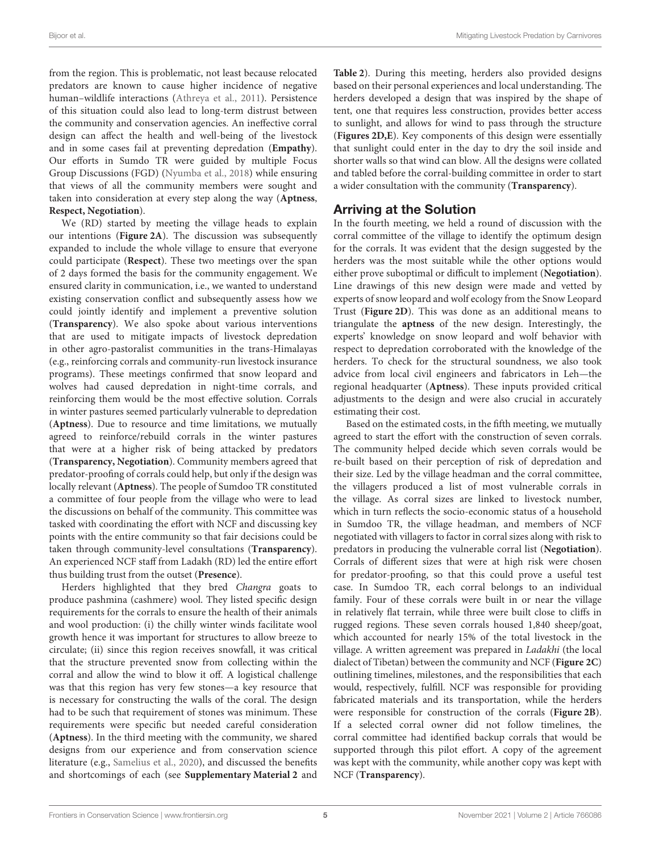from the region. This is problematic, not least because relocated predators are known to cause higher incidence of negative human–wildlife interactions [\(Athreya et al., 2011\)](#page-8-20). Persistence of this situation could also lead to long-term distrust between the community and conservation agencies. An ineffective corral design can affect the health and well-being of the livestock and in some cases fail at preventing depredation (**Empathy**). Our efforts in Sumdo TR were guided by multiple Focus Group Discussions (FGD) [\(Nyumba et al., 2018\)](#page-8-21) while ensuring that views of all the community members were sought and taken into consideration at every step along the way (**Aptness**, **Respect, Negotiation**).

We (RD) started by meeting the village heads to explain our intentions (**[Figure 2A](#page-5-0)**). The discussion was subsequently expanded to include the whole village to ensure that everyone could participate (**Respect**). These two meetings over the span of 2 days formed the basis for the community engagement. We ensured clarity in communication, i.e., we wanted to understand existing conservation conflict and subsequently assess how we could jointly identify and implement a preventive solution (**Transparency**). We also spoke about various interventions that are used to mitigate impacts of livestock depredation in other agro-pastoralist communities in the trans-Himalayas (e.g., reinforcing corrals and community-run livestock insurance programs). These meetings confirmed that snow leopard and wolves had caused depredation in night-time corrals, and reinforcing them would be the most effective solution. Corrals in winter pastures seemed particularly vulnerable to depredation (**Aptness**). Due to resource and time limitations, we mutually agreed to reinforce/rebuild corrals in the winter pastures that were at a higher risk of being attacked by predators (**Transparency, Negotiation**). Community members agreed that predator-proofing of corrals could help, but only if the design was locally relevant (**Aptness**). The people of Sumdoo TR constituted a committee of four people from the village who were to lead the discussions on behalf of the community. This committee was tasked with coordinating the effort with NCF and discussing key points with the entire community so that fair decisions could be taken through community-level consultations (**Transparency**). An experienced NCF staff from Ladakh (RD) led the entire effort thus building trust from the outset (**Presence**).

Herders highlighted that they bred Changra goats to produce pashmina (cashmere) wool. They listed specific design requirements for the corrals to ensure the health of their animals and wool production: (i) the chilly winter winds facilitate wool growth hence it was important for structures to allow breeze to circulate; (ii) since this region receives snowfall, it was critical that the structure prevented snow from collecting within the corral and allow the wind to blow it off. A logistical challenge was that this region has very few stones—a key resource that is necessary for constructing the walls of the coral. The design had to be such that requirement of stones was minimum. These requirements were specific but needed careful consideration (**Aptness**). In the third meeting with the community, we shared designs from our experience and from conservation science literature (e.g., [Samelius et al., 2020\)](#page-8-7), and discussed the benefits and shortcomings of each (see **[Supplementary Material 2](#page-7-0)** and **[Table 2](#page-5-1)**). During this meeting, herders also provided designs based on their personal experiences and local understanding. The herders developed a design that was inspired by the shape of tent, one that requires less construction, provides better access to sunlight, and allows for wind to pass through the structure (**[Figures 2D,E](#page-5-0)**). Key components of this design were essentially that sunlight could enter in the day to dry the soil inside and shorter walls so that wind can blow. All the designs were collated and tabled before the corral-building committee in order to start a wider consultation with the community (**Transparency**).

#### Arriving at the Solution

In the fourth meeting, we held a round of discussion with the corral committee of the village to identify the optimum design for the corrals. It was evident that the design suggested by the herders was the most suitable while the other options would either prove suboptimal or difficult to implement (**Negotiation**). Line drawings of this new design were made and vetted by experts of snow leopard and wolf ecology from the Snow Leopard Trust (**[Figure 2D](#page-5-0)**). This was done as an additional means to triangulate the **aptness** of the new design. Interestingly, the experts' knowledge on snow leopard and wolf behavior with respect to depredation corroborated with the knowledge of the herders. To check for the structural soundness, we also took advice from local civil engineers and fabricators in Leh—the regional headquarter (**Aptness**). These inputs provided critical adjustments to the design and were also crucial in accurately estimating their cost.

Based on the estimated costs, in the fifth meeting, we mutually agreed to start the effort with the construction of seven corrals. The community helped decide which seven corrals would be re-built based on their perception of risk of depredation and their size. Led by the village headman and the corral committee, the villagers produced a list of most vulnerable corrals in the village. As corral sizes are linked to livestock number, which in turn reflects the socio-economic status of a household in Sumdoo TR, the village headman, and members of NCF negotiated with villagers to factor in corral sizes along with risk to predators in producing the vulnerable corral list (**Negotiation**). Corrals of different sizes that were at high risk were chosen for predator-proofing, so that this could prove a useful test case. In Sumdoo TR, each corral belongs to an individual family. Four of these corrals were built in or near the village in relatively flat terrain, while three were built close to cliffs in rugged regions. These seven corrals housed 1,840 sheep/goat, which accounted for nearly 15% of the total livestock in the village. A written agreement was prepared in Ladakhi (the local dialect of Tibetan) between the community and NCF (**[Figure 2C](#page-5-0)**) outlining timelines, milestones, and the responsibilities that each would, respectively, fulfill. NCF was responsible for providing fabricated materials and its transportation, while the herders were responsible for construction of the corrals (**[Figure 2B](#page-5-0)**). If a selected corral owner did not follow timelines, the corral committee had identified backup corrals that would be supported through this pilot effort. A copy of the agreement was kept with the community, while another copy was kept with NCF (**Transparency**).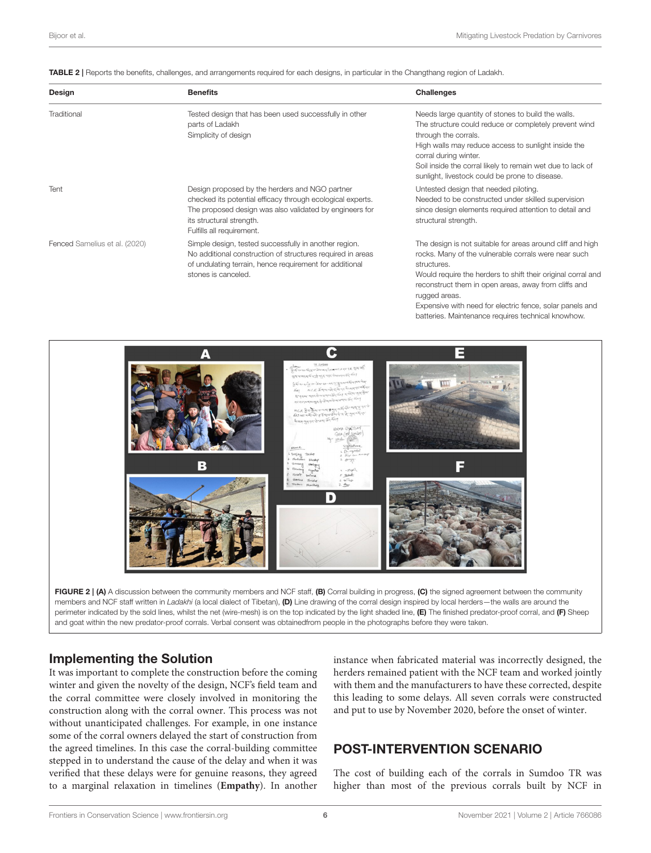<span id="page-5-1"></span>TABLE 2 | Reports the benefits, challenges, and arrangements required for each designs, in particular in the Changthang region of Ladakh.

| Design                        | <b>Benefits</b>                                                                                                                                                                                                                  | Challenges                                                                                                                                                                                                                                                                                                                                                                                   |
|-------------------------------|----------------------------------------------------------------------------------------------------------------------------------------------------------------------------------------------------------------------------------|----------------------------------------------------------------------------------------------------------------------------------------------------------------------------------------------------------------------------------------------------------------------------------------------------------------------------------------------------------------------------------------------|
| Traditional                   | Tested design that has been used successfully in other<br>parts of Ladakh<br>Simplicity of design                                                                                                                                | Needs large quantity of stones to build the walls.<br>The structure could reduce or completely prevent wind<br>through the corrals.<br>High walls may reduce access to sunlight inside the<br>corral during winter.<br>Soil inside the corral likely to remain wet due to lack of<br>sunlight, livestock could be prone to disease.                                                          |
| Tent                          | Design proposed by the herders and NGO partner<br>checked its potential efficacy through ecological experts.<br>The proposed design was also validated by engineers for<br>its structural strength.<br>Fulfills all requirement. | Untested design that needed piloting.<br>Needed to be constructed under skilled supervision<br>since design elements required attention to detail and<br>structural strength.                                                                                                                                                                                                                |
| Fenced Samelius et al. (2020) | Simple design, tested successfully in another region.<br>No additional construction of structures required in areas<br>of undulating terrain, hence requirement for additional<br>stones is canceled.                            | The design is not suitable for areas around cliff and high<br>rocks. Many of the vulnerable corrals were near such<br>structures.<br>Would require the herders to shift their original corral and<br>reconstruct them in open areas, away from cliffs and<br>rugged areas.<br>Expensive with need for electric fence, solar panels and<br>batteries. Maintenance requires technical knowhow. |



<span id="page-5-0"></span>

#### Implementing the Solution

It was important to complete the construction before the coming winter and given the novelty of the design, NCF's field team and the corral committee were closely involved in monitoring the construction along with the corral owner. This process was not without unanticipated challenges. For example, in one instance some of the corral owners delayed the start of construction from the agreed timelines. In this case the corral-building committee stepped in to understand the cause of the delay and when it was verified that these delays were for genuine reasons, they agreed to a marginal relaxation in timelines (**Empathy**). In another

instance when fabricated material was incorrectly designed, the herders remained patient with the NCF team and worked jointly with them and the manufacturers to have these corrected, despite this leading to some delays. All seven corrals were constructed and put to use by November 2020, before the onset of winter.

# POST-INTERVENTION SCENARIO

The cost of building each of the corrals in Sumdoo TR was higher than most of the previous corrals built by NCF in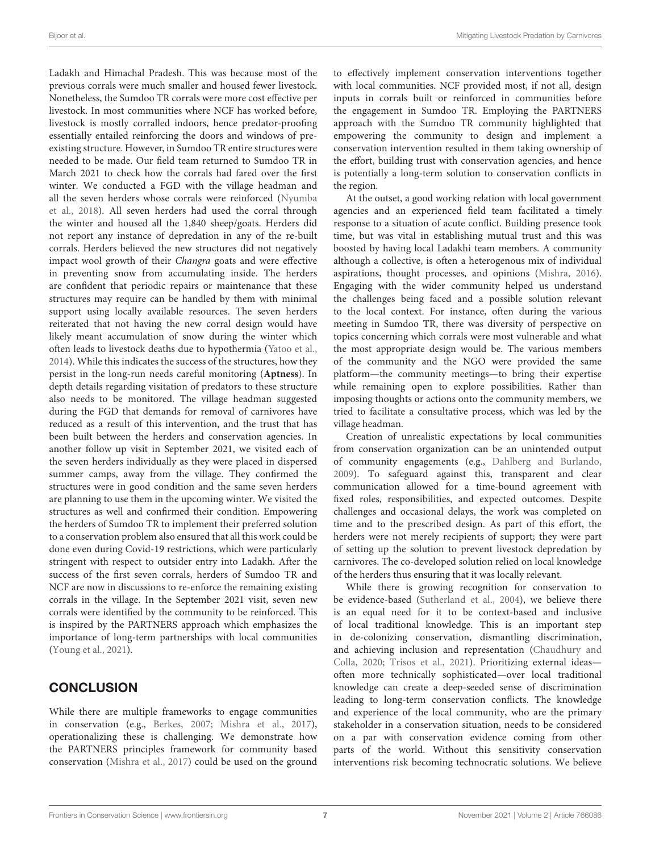Ladakh and Himachal Pradesh. This was because most of the previous corrals were much smaller and housed fewer livestock. Nonetheless, the Sumdoo TR corrals were more cost effective per livestock. In most communities where NCF has worked before, livestock is mostly corralled indoors, hence predator-proofing essentially entailed reinforcing the doors and windows of preexisting structure. However, in Sumdoo TR entire structures were needed to be made. Our field team returned to Sumdoo TR in March 2021 to check how the corrals had fared over the first winter. We conducted a FGD with the village headman and all the seven herders whose corrals were reinforced (Nyumba et al., [2018\)](#page-8-21). All seven herders had used the corral through the winter and housed all the 1,840 sheep/goats. Herders did not report any instance of depredation in any of the re-built corrals. Herders believed the new structures did not negatively impact wool growth of their Changra goats and were effective in preventing snow from accumulating inside. The herders are confident that periodic repairs or maintenance that these structures may require can be handled by them with minimal support using locally available resources. The seven herders reiterated that not having the new corral design would have likely meant accumulation of snow during the winter which often leads to livestock deaths due to hypothermia [\(Yatoo et al.,](#page-8-22) [2014\)](#page-8-22). While this indicates the success of the structures, how they persist in the long-run needs careful monitoring (**Aptness**). In depth details regarding visitation of predators to these structure also needs to be monitored. The village headman suggested during the FGD that demands for removal of carnivores have reduced as a result of this intervention, and the trust that has been built between the herders and conservation agencies. In another follow up visit in September 2021, we visited each of the seven herders individually as they were placed in dispersed summer camps, away from the village. They confirmed the structures were in good condition and the same seven herders are planning to use them in the upcoming winter. We visited the structures as well and confirmed their condition. Empowering the herders of Sumdoo TR to implement their preferred solution to a conservation problem also ensured that all this work could be done even during Covid-19 restrictions, which were particularly stringent with respect to outsider entry into Ladakh. After the success of the first seven corrals, herders of Sumdoo TR and NCF are now in discussions to re-enforce the remaining existing corrals in the village. In the September 2021 visit, seven new corrals were identified by the community to be reinforced. This is inspired by the PARTNERS approach which emphasizes the importance of long-term partnerships with local communities [\(Young et al., 2021\)](#page-8-23).

## **CONCLUSION**

While there are multiple frameworks to engage communities in conservation (e.g., [Berkes, 2007;](#page-8-24) [Mishra et al., 2017\)](#page-8-12), operationalizing these is challenging. We demonstrate how the PARTNERS principles framework for community based conservation [\(Mishra et al., 2017\)](#page-8-12) could be used on the ground to effectively implement conservation interventions together with local communities. NCF provided most, if not all, design inputs in corrals built or reinforced in communities before the engagement in Sumdoo TR. Employing the PARTNERS approach with the Sumdoo TR community highlighted that empowering the community to design and implement a conservation intervention resulted in them taking ownership of the effort, building trust with conservation agencies, and hence is potentially a long-term solution to conservation conflicts in the region.

At the outset, a good working relation with local government agencies and an experienced field team facilitated a timely response to a situation of acute conflict. Building presence took time, but was vital in establishing mutual trust and this was boosted by having local Ladakhi team members. A community although a collective, is often a heterogenous mix of individual aspirations, thought processes, and opinions [\(Mishra, 2016\)](#page-8-11). Engaging with the wider community helped us understand the challenges being faced and a possible solution relevant to the local context. For instance, often during the various meeting in Sumdoo TR, there was diversity of perspective on topics concerning which corrals were most vulnerable and what the most appropriate design would be. The various members of the community and the NGO were provided the same platform—the community meetings—to bring their expertise while remaining open to explore possibilities. Rather than imposing thoughts or actions onto the community members, we tried to facilitate a consultative process, which was led by the village headman.

Creation of unrealistic expectations by local communities from conservation organization can be an unintended output of community engagements (e.g., [Dahlberg and Burlando,](#page-8-25) [2009\)](#page-8-25). To safeguard against this, transparent and clear communication allowed for a time-bound agreement with fixed roles, responsibilities, and expected outcomes. Despite challenges and occasional delays, the work was completed on time and to the prescribed design. As part of this effort, the herders were not merely recipients of support; they were part of setting up the solution to prevent livestock depredation by carnivores. The co-developed solution relied on local knowledge of the herders thus ensuring that it was locally relevant.

While there is growing recognition for conservation to be evidence-based [\(Sutherland et al., 2004\)](#page-8-26), we believe there is an equal need for it to be context-based and inclusive of local traditional knowledge. This is an important step in de-colonizing conservation, dismantling discrimination, and achieving inclusion and representation (Chaudhury and Colla, [2020;](#page-8-27) [Trisos et al., 2021\)](#page-8-28). Prioritizing external ideas often more technically sophisticated—over local traditional knowledge can create a deep-seeded sense of discrimination leading to long-term conservation conflicts. The knowledge and experience of the local community, who are the primary stakeholder in a conservation situation, needs to be considered on a par with conservation evidence coming from other parts of the world. Without this sensitivity conservation interventions risk becoming technocratic solutions. We believe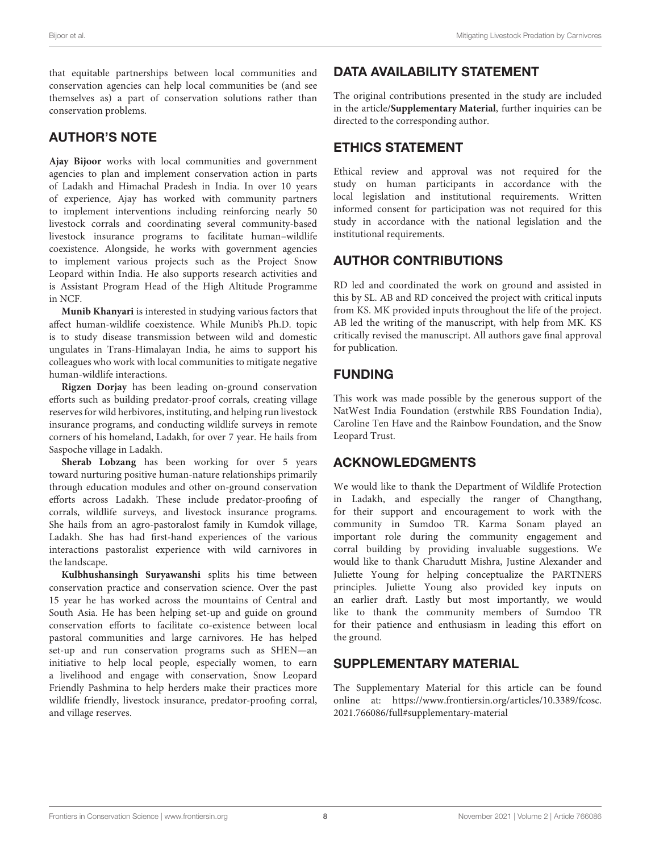that equitable partnerships between local communities and conservation agencies can help local communities be (and see themselves as) a part of conservation solutions rather than conservation problems.

# AUTHOR'S NOTE

**Ajay Bijoor** works with local communities and government agencies to plan and implement conservation action in parts of Ladakh and Himachal Pradesh in India. In over 10 years of experience, Ajay has worked with community partners to implement interventions including reinforcing nearly 50 livestock corrals and coordinating several community-based livestock insurance programs to facilitate human–wildlife coexistence. Alongside, he works with government agencies to implement various projects such as the Project Snow Leopard within India. He also supports research activities and is Assistant Program Head of the High Altitude Programme in NCF.

**Munib Khanyari** is interested in studying various factors that affect human-wildlife coexistence. While Munib's Ph.D. topic is to study disease transmission between wild and domestic ungulates in Trans-Himalayan India, he aims to support his colleagues who work with local communities to mitigate negative human-wildlife interactions.

**Rigzen Dorjay** has been leading on-ground conservation efforts such as building predator-proof corrals, creating village reserves for wild herbivores, instituting, and helping run livestock insurance programs, and conducting wildlife surveys in remote corners of his homeland, Ladakh, for over 7 year. He hails from Saspoche village in Ladakh.

**Sherab Lobzang** has been working for over 5 years toward nurturing positive human-nature relationships primarily through education modules and other on-ground conservation efforts across Ladakh. These include predator-proofing of corrals, wildlife surveys, and livestock insurance programs. She hails from an agro-pastoralost family in Kumdok village, Ladakh. She has had first-hand experiences of the various interactions pastoralist experience with wild carnivores in the landscape.

**Kulbhushansingh Suryawanshi** splits his time between conservation practice and conservation science. Over the past 15 year he has worked across the mountains of Central and South Asia. He has been helping set-up and guide on ground conservation efforts to facilitate co-existence between local pastoral communities and large carnivores. He has helped set-up and run conservation programs such as SHEN—an initiative to help local people, especially women, to earn a livelihood and engage with conservation, Snow Leopard Friendly Pashmina to help herders make their practices more wildlife friendly, livestock insurance, predator-proofing corral, and village reserves.

# DATA AVAILABILITY STATEMENT

The original contributions presented in the study are included in the article/**[Supplementary Material](#page-7-0)**, further inquiries can be directed to the corresponding author.

# ETHICS STATEMENT

Ethical review and approval was not required for the study on human participants in accordance with the local legislation and institutional requirements. Written informed consent for participation was not required for this study in accordance with the national legislation and the institutional requirements.

# AUTHOR CONTRIBUTIONS

RD led and coordinated the work on ground and assisted in this by SL. AB and RD conceived the project with critical inputs from KS. MK provided inputs throughout the life of the project. AB led the writing of the manuscript, with help from MK. KS critically revised the manuscript. All authors gave final approval for publication.

## FUNDING

This work was made possible by the generous support of the NatWest India Foundation (erstwhile RBS Foundation India), Caroline Ten Have and the Rainbow Foundation, and the Snow Leopard Trust.

## ACKNOWLEDGMENTS

We would like to thank the Department of Wildlife Protection in Ladakh, and especially the ranger of Changthang, for their support and encouragement to work with the community in Sumdoo TR. Karma Sonam played an important role during the community engagement and corral building by providing invaluable suggestions. We would like to thank Charudutt Mishra, Justine Alexander and Juliette Young for helping conceptualize the PARTNERS principles. Juliette Young also provided key inputs on an earlier draft. Lastly but most importantly, we would like to thank the community members of Sumdoo TR for their patience and enthusiasm in leading this effort on the ground.

# SUPPLEMENTARY MATERIAL

<span id="page-7-0"></span>The Supplementary Material for this article can be found [online at: https://www.frontiersin.org/articles/10.3389/fcosc.](https://www.frontiersin.org/articles/10.3389/fcosc.2021.766086/full#supplementary-material) 2021.766086/full#supplementary-material